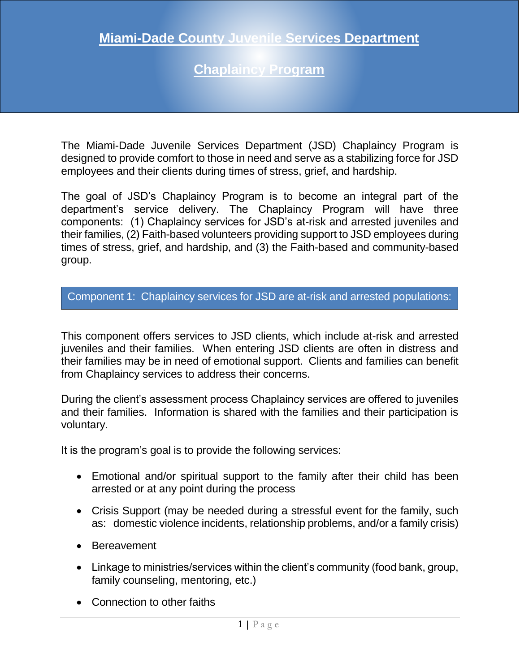## **Chaplaincy Program**

The Miami-Dade Juvenile Services Department (JSD) Chaplaincy Program is designed to provide comfort to those in need and serve as a stabilizing force for JSD employees and their clients during times of stress, grief, and hardship.

The goal of JSD's Chaplaincy Program is to become an integral part of the department's service delivery. The Chaplaincy Program will have three components: (1) Chaplaincy services for JSD's at-risk and arrested juveniles and their families, (2) Faith-based volunteers providing support to JSD employees during times of stress, grief, and hardship, and (3) the Faith-based and community-based group.

Component 1: Chaplaincy services for JSD are at-risk and arrested populations:

This component offers services to JSD clients, which include at-risk and arrested juveniles and their families. When entering JSD clients are often in distress and their families may be in need of emotional support. Clients and families can benefit from Chaplaincy services to address their concerns.

During the client's assessment process Chaplaincy services are offered to juveniles and their families. Information is shared with the families and their participation is voluntary.

It is the program's goal is to provide the following services:

- Emotional and/or spiritual support to the family after their child has been arrested or at any point during the process
- Crisis Support (may be needed during a stressful event for the family, such as: domestic violence incidents, relationship problems, and/or a family crisis)
- Bereavement
- Linkage to ministries/services within the client's community (food bank, group, family counseling, mentoring, etc.)
- Connection to other faiths